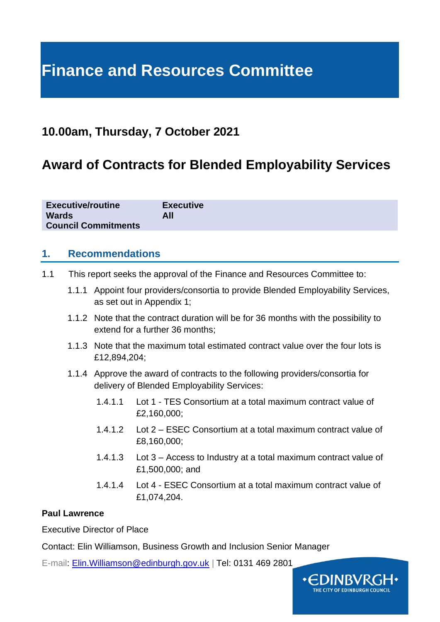# **Finance and Resources Committee**

## **10.00am, Thursday, 7 October 2021**

# **Award of Contracts for Blended Employability Services**

| <b>Executive/routine</b>   | <b>Executive</b> |
|----------------------------|------------------|
| <b>Wards</b>               | All              |
| <b>Council Commitments</b> |                  |

#### **1. Recommendations**

- 1.1 This report seeks the approval of the Finance and Resources Committee to:
	- 1.1.1 Appoint four providers/consortia to provide Blended Employability Services, as set out in Appendix 1;
	- 1.1.2 Note that the contract duration will be for 36 months with the possibility to extend for a further 36 months;
	- 1.1.3 Note that the maximum total estimated contract value over the four lots is £12,894,204;
	- 1.1.4 Approve the award of contracts to the following providers/consortia for delivery of Blended Employability Services:
		- 1.4.1.1 Lot 1 TES Consortium at a total maximum contract value of £2,160,000;
		- 1.4.1.2 Lot 2 ESEC Consortium at a total maximum contract value of £8,160,000;
		- 1.4.1.3 Lot 3 Access to Industry at a total maximum contract value of £1,500,000; and
		- 1.4.1.4 Lot 4 ESEC Consortium at a total maximum contract value of £1,074,204.

#### **Paul Lawrence**

Executive Director of Place

Contact: Elin Williamson, Business Growth and Inclusion Senior Manager

E-mail: [Elin.Williamson@edinburgh.gov.uk](mailto:Elin.Williamson@edinburgh.gov.uk) | Tel: 0131 469 2801

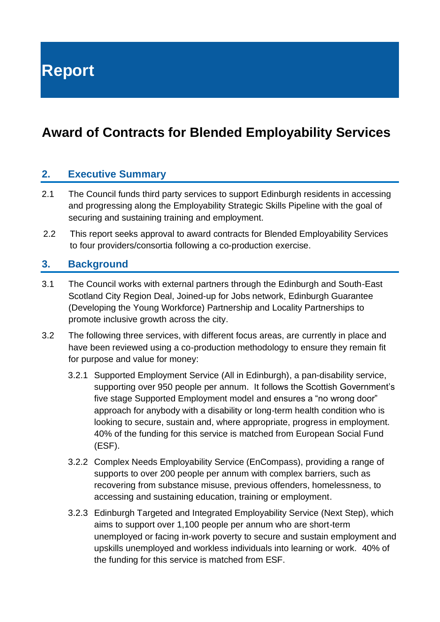**Report**

# **Award of Contracts for Blended Employability Services**

#### **2. Executive Summary**

- 2.1 The Council funds third party services to support Edinburgh residents in accessing and progressing along the Employability Strategic Skills Pipeline with the goal of securing and sustaining training and employment.
- 2.2 This report seeks approval to award contracts for Blended Employability Services to four providers/consortia following a co-production exercise.

#### **3. Background**

- 3.1 The Council works with external partners through the Edinburgh and South-East Scotland City Region Deal, Joined-up for Jobs network, Edinburgh Guarantee (Developing the Young Workforce) Partnership and Locality Partnerships to promote inclusive growth across the city.
- 3.2 The following three services, with different focus areas, are currently in place and have been reviewed using a co-production methodology to ensure they remain fit for purpose and value for money:
	- 3.2.1 Supported Employment Service (All in Edinburgh), a pan-disability service, supporting over 950 people per annum. It follows the Scottish Government's five stage Supported Employment model and ensures a "no wrong door" approach for anybody with a disability or long-term health condition who is looking to secure, sustain and, where appropriate, progress in employment. 40% of the funding for this service is matched from European Social Fund (ESF).
	- 3.2.2 Complex Needs Employability Service (EnCompass), providing a range of supports to over 200 people per annum with complex barriers, such as recovering from substance misuse, previous offenders, homelessness, to accessing and sustaining education, training or employment.
	- 3.2.3 Edinburgh Targeted and Integrated Employability Service (Next Step), which aims to support over 1,100 people per annum who are short-term unemployed or facing in-work poverty to secure and sustain employment and upskills unemployed and workless individuals into learning or work. 40% of the funding for this service is matched from ESF.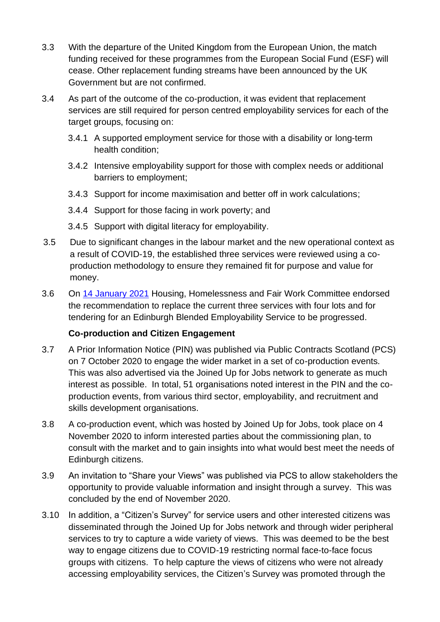- 3.3 With the departure of the United Kingdom from the European Union, the match funding received for these programmes from the European Social Fund (ESF) will cease. Other replacement funding streams have been announced by the UK Government but are not confirmed.
- 3.4 As part of the outcome of the co-production, it was evident that replacement services are still required for person centred employability services for each of the target groups, focusing on:
	- 3.4.1 A supported employment service for those with a disability or long-term health condition;
	- 3.4.2 Intensive employability support for those with complex needs or additional barriers to employment;
	- 3.4.3 Support for income maximisation and better off in work calculations;
	- 3.4.4 Support for those facing in work poverty; and
	- 3.4.5 Support with digital literacy for employability.
- 3.5 Due to significant changes in the labour market and the new operational context as a result of COVID-19, the established three services were reviewed using a coproduction methodology to ensure they remained fit for purpose and value for money.
- 3.6 On [14 January](https://democracy.edinburgh.gov.uk/ieListDocuments.aspx?CId=141&MId=5691&Ver=4) 2021 Housing, Homelessness and Fair Work Committee endorsed the recommendation to replace the current three services with four lots and for tendering for an Edinburgh Blended Employability Service to be progressed.

#### **Co-production and Citizen Engagement**

- 3.7 A Prior Information Notice (PIN) was published via Public Contracts Scotland (PCS) on 7 October 2020 to engage the wider market in a set of co-production events. This was also advertised via the Joined Up for Jobs network to generate as much interest as possible. In total, 51 organisations noted interest in the PIN and the coproduction events, from various third sector, employability, and recruitment and skills development organisations.
- 3.8 A co-production event, which was hosted by Joined Up for Jobs, took place on 4 November 2020 to inform interested parties about the commissioning plan, to consult with the market and to gain insights into what would best meet the needs of Edinburgh citizens.
- 3.9 An invitation to "Share your Views" was published via PCS to allow stakeholders the opportunity to provide valuable information and insight through a survey. This was concluded by the end of November 2020.
- 3.10 In addition, a "Citizen's Survey" for service users and other interested citizens was disseminated through the Joined Up for Jobs network and through wider peripheral services to try to capture a wide variety of views. This was deemed to be the best way to engage citizens due to COVID-19 restricting normal face-to-face focus groups with citizens. To help capture the views of citizens who were not already accessing employability services, the Citizen's Survey was promoted through the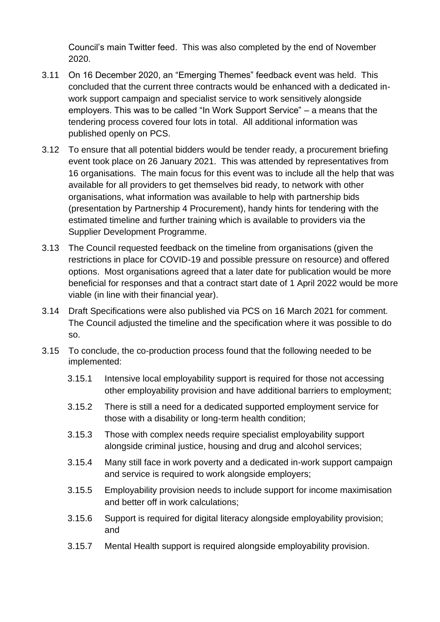Council's main Twitter feed. This was also completed by the end of November 2020.

- 3.11 On 16 December 2020, an "Emerging Themes" feedback event was held. This concluded that the current three contracts would be enhanced with a dedicated inwork support campaign and specialist service to work sensitively alongside employers. This was to be called "In Work Support Service" – a means that the tendering process covered four lots in total. All additional information was published openly on PCS.
- 3.12 To ensure that all potential bidders would be tender ready, a procurement briefing event took place on 26 January 2021. This was attended by representatives from 16 organisations. The main focus for this event was to include all the help that was available for all providers to get themselves bid ready, to network with other organisations, what information was available to help with partnership bids (presentation by Partnership 4 Procurement), handy hints for tendering with the estimated timeline and further training which is available to providers via the Supplier Development Programme.
- 3.13 The Council requested feedback on the timeline from organisations (given the restrictions in place for COVID-19 and possible pressure on resource) and offered options. Most organisations agreed that a later date for publication would be more beneficial for responses and that a contract start date of 1 April 2022 would be more viable (in line with their financial year).
- 3.14 Draft Specifications were also published via PCS on 16 March 2021 for comment. The Council adjusted the timeline and the specification where it was possible to do so.
- 3.15 To conclude, the co-production process found that the following needed to be implemented:
	- 3.15.1 Intensive local employability support is required for those not accessing other employability provision and have additional barriers to employment;
	- 3.15.2 There is still a need for a dedicated supported employment service for those with a disability or long-term health condition;
	- 3.15.3 Those with complex needs require specialist employability support alongside criminal justice, housing and drug and alcohol services;
	- 3.15.4 Many still face in work poverty and a dedicated in-work support campaign and service is required to work alongside employers;
	- 3.15.5 Employability provision needs to include support for income maximisation and better off in work calculations;
	- 3.15.6 Support is required for digital literacy alongside employability provision; and
	- 3.15.7 Mental Health support is required alongside employability provision.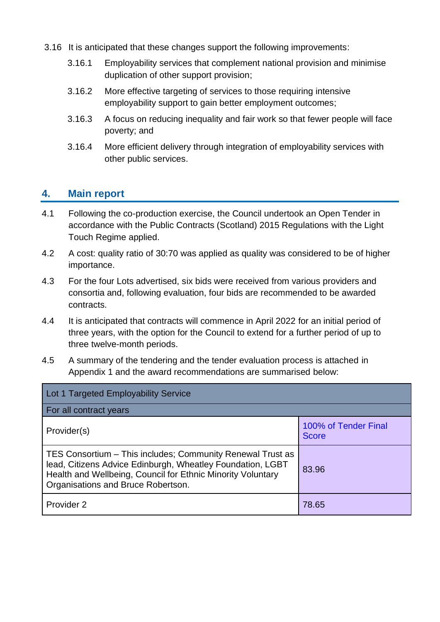- 3.16 It is anticipated that these changes support the following improvements:
	- 3.16.1 Employability services that complement national provision and minimise duplication of other support provision;
	- 3.16.2 More effective targeting of services to those requiring intensive employability support to gain better employment outcomes;
	- 3.16.3 A focus on reducing inequality and fair work so that fewer people will face poverty; and
	- 3.16.4 More efficient delivery through integration of employability services with other public services.

#### **4. Main report**

- 4.1 Following the co-production exercise, the Council undertook an Open Tender in accordance with the Public Contracts (Scotland) 2015 Regulations with the Light Touch Regime applied.
- 4.2 A cost: quality ratio of 30:70 was applied as quality was considered to be of higher importance.
- 4.3 For the four Lots advertised, six bids were received from various providers and consortia and, following evaluation, four bids are recommended to be awarded contracts.
- 4.4 It is anticipated that contracts will commence in April 2022 for an initial period of three years, with the option for the Council to extend for a further period of up to three twelve-month periods.
- 4.5 A summary of the tendering and the tender evaluation process is attached in Appendix 1 and the award recommendations are summarised below:

| Lot 1 Targeted Employability Service                                                                                                                                                                                          |                                      |  |  |  |
|-------------------------------------------------------------------------------------------------------------------------------------------------------------------------------------------------------------------------------|--------------------------------------|--|--|--|
| For all contract years                                                                                                                                                                                                        |                                      |  |  |  |
| Provider(s)                                                                                                                                                                                                                   | 100% of Tender Final<br><b>Score</b> |  |  |  |
| TES Consortium – This includes; Community Renewal Trust as<br>lead, Citizens Advice Edinburgh, Wheatley Foundation, LGBT<br>Health and Wellbeing, Council for Ethnic Minority Voluntary<br>Organisations and Bruce Robertson. | 83.96                                |  |  |  |
| Provider 2                                                                                                                                                                                                                    | 78.65                                |  |  |  |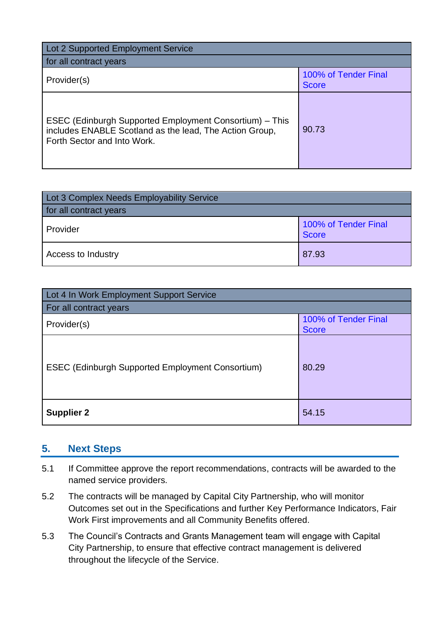| Lot 2 Supported Employment Service                                                                                                                |                                      |  |  |  |
|---------------------------------------------------------------------------------------------------------------------------------------------------|--------------------------------------|--|--|--|
| for all contract years                                                                                                                            |                                      |  |  |  |
| Provider(s)                                                                                                                                       | 100% of Tender Final<br><b>Score</b> |  |  |  |
| ESEC (Edinburgh Supported Employment Consortium) – This<br>includes ENABLE Scotland as the lead, The Action Group,<br>Forth Sector and Into Work. | 90.73                                |  |  |  |

| Lot 3 Complex Needs Employability Service |                                      |  |  |  |
|-------------------------------------------|--------------------------------------|--|--|--|
| for all contract years                    |                                      |  |  |  |
| Provider                                  | 100% of Tender Final<br><b>Score</b> |  |  |  |
| Access to Industry                        | 87.93                                |  |  |  |

| Lot 4 In Work Employment Support Service                |                                      |  |  |  |
|---------------------------------------------------------|--------------------------------------|--|--|--|
| For all contract years                                  |                                      |  |  |  |
| Provider(s)                                             | 100% of Tender Final<br><b>Score</b> |  |  |  |
| <b>ESEC (Edinburgh Supported Employment Consortium)</b> | 80.29                                |  |  |  |
| <b>Supplier 2</b>                                       | 54.15                                |  |  |  |

#### **5. Next Steps**

- 5.1 If Committee approve the report recommendations, contracts will be awarded to the named service providers.
- 5.2 The contracts will be managed by Capital City Partnership, who will monitor Outcomes set out in the Specifications and further Key Performance Indicators, Fair Work First improvements and all Community Benefits offered.
- 5.3 The Council's Contracts and Grants Management team will engage with Capital City Partnership, to ensure that effective contract management is delivered throughout the lifecycle of the Service.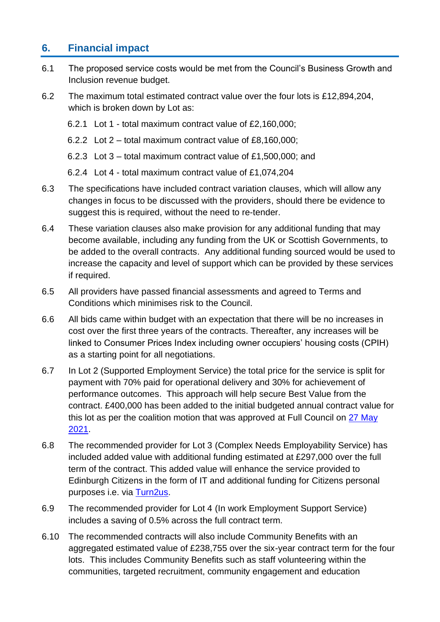### **6. Financial impact**

- 6.1 The proposed service costs would be met from the Council's Business Growth and Inclusion revenue budget.
- 6.2 The maximum total estimated contract value over the four lots is £12,894,204, which is broken down by Lot as:
	- 6.2.1 Lot 1 total maximum contract value of £2,160,000;
	- 6.2.2 Lot 2 total maximum contract value of £8,160,000;
	- 6.2.3 Lot 3 total maximum contract value of £1,500,000; and
	- 6.2.4 Lot 4 total maximum contract value of £1,074,204
- 6.3 The specifications have included contract variation clauses, which will allow any changes in focus to be discussed with the providers, should there be evidence to suggest this is required, without the need to re-tender.
- 6.4 These variation clauses also make provision for any additional funding that may become available, including any funding from the UK or Scottish Governments, to be added to the overall contracts. Any additional funding sourced would be used to increase the capacity and level of support which can be provided by these services if required.
- 6.5 All providers have passed financial assessments and agreed to Terms and Conditions which minimises risk to the Council.
- 6.6 All bids came within budget with an expectation that there will be no increases in cost over the first three years of the contracts. Thereafter, any increases will be linked to Consumer Prices Index including owner occupiers' housing costs (CPIH) as a starting point for all negotiations.
- 6.7 In Lot 2 (Supported Employment Service) the total price for the service is split for payment with 70% paid for operational delivery and 30% for achievement of performance outcomes. This approach will help secure Best Value from the contract. £400,000 has been added to the initial budgeted annual contract value for this lot as per the coalition motion that was approved at Full Council on [27 May](https://democracy.edinburgh.gov.uk/ieListDocuments.aspx?CId=150&MId=5599&Ver=4)  [2021.](https://democracy.edinburgh.gov.uk/ieListDocuments.aspx?CId=150&MId=5599&Ver=4)
- 6.8 The recommended provider for Lot 3 (Complex Needs Employability Service) has included added value with additional funding estimated at £297,000 over the full term of the contract. This added value will enhance the service provided to Edinburgh Citizens in the form of IT and additional funding for Citizens personal purposes i.e. via [Turn2us.](https://www.turn2us.org.uk/)
- 6.9 The recommended provider for Lot 4 (In work Employment Support Service) includes a saving of 0.5% across the full contract term.
- 6.10 The recommended contracts will also include Community Benefits with an aggregated estimated value of £238,755 over the six-year contract term for the four lots. This includes Community Benefits such as staff volunteering within the communities, targeted recruitment, community engagement and education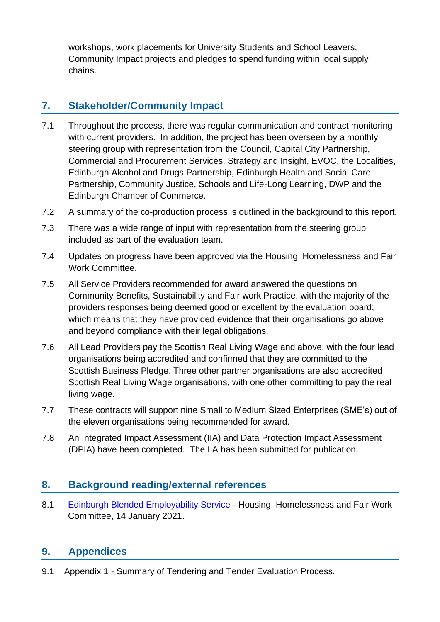workshops, work placements for University Students and School Leavers, Community Impact projects and pledges to spend funding within local supply chains.

### **7. Stakeholder/Community Impact**

- 7.1 Throughout the process, there was regular communication and contract monitoring with current providers. In addition, the project has been overseen by a monthly steering group with representation from the Council, Capital City Partnership, Commercial and Procurement Services, Strategy and Insight, EVOC, the Localities, Edinburgh Alcohol and Drugs Partnership, Edinburgh Health and Social Care Partnership, Community Justice, Schools and Life-Long Learning, DWP and the Edinburgh Chamber of Commerce.
- 7.2 A summary of the co-production process is outlined in the background to this report.
- 7.3 There was a wide range of input with representation from the steering group included as part of the evaluation team.
- 7.4 Updates on progress have been approved via the Housing, Homelessness and Fair Work Committee.
- 7.5 All Service Providers recommended for award answered the questions on Community Benefits, Sustainability and Fair work Practice, with the majority of the providers responses being deemed good or excellent by the evaluation board; which means that they have provided evidence that their organisations go above and beyond compliance with their legal obligations.
- 7.6 All Lead Providers pay the Scottish Real Living Wage and above, with the four lead organisations being accredited and confirmed that they are committed to the Scottish Business Pledge. Three other partner organisations are also accredited Scottish Real Living Wage organisations, with one other committing to pay the real living wage.
- 7.7 These contracts will support nine Small to Medium Sized Enterprises (SME's) out of the eleven organisations being recommended for award.
- 7.8 An Integrated Impact Assessment (IIA) and Data Protection Impact Assessment (DPIA) have been completed. The IIA has been submitted for publication.

### **8. Background reading/external references**

8.1 [Edinburgh Blended Employability Service](https://democracy.edinburgh.gov.uk/ieListDocuments.aspx?CId=141&MId=5691&Ver=4) - Housing, Homelessness and Fair Work Committee, 14 January 2021.

### **9. Appendices**

9.1 Appendix 1 - Summary of Tendering and Tender Evaluation Process.